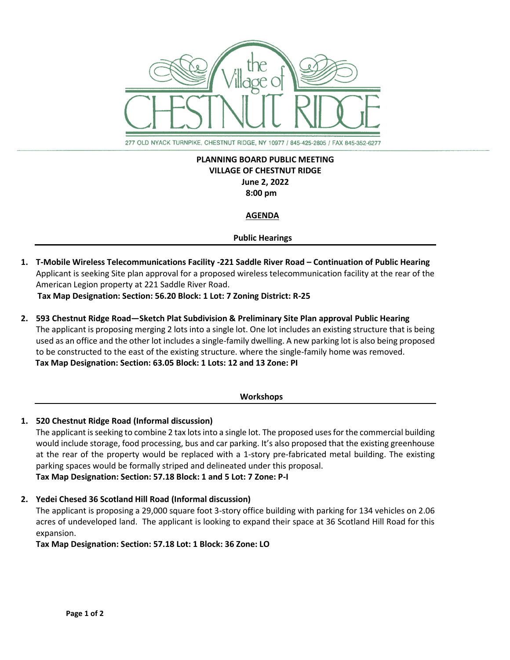

277 OLD NYACK TURNPIKE, CHESTNUT RIDGE, NY 10977 / 845-425-2805 / FAX 845-352-6277

# **PLANNING BOARD PUBLIC MEETING VILLAGE OF CHESTNUT RIDGE June 2, 2022 8:00 pm**

## **AGENDA**

## **Public Hearings**

**1. T-Mobile Wireless Telecommunications Facility -221 Saddle River Road – Continuation of Public Hearing** Applicant is seeking Site plan approval for a proposed wireless telecommunication facility at the rear of the American Legion property at 221 Saddle River Road.

 **Tax Map Designation: Section: 56.20 Block: 1 Lot: 7 Zoning District: R-25**

**2. 593 Chestnut Ridge Road—Sketch Plat Subdivision & Preliminary Site Plan approval Public Hearing** The applicant is proposing merging 2 lots into a single lot. One lot includes an existing structure that is being used as an office and the other lot includes a single-family dwelling. A new parking lot is also being proposed to be constructed to the east of the existing structure. where the single-family home was removed.  **Tax Map Designation: Section: 63.05 Block: 1 Lots: 12 and 13 Zone: PI**

#### **Workshops**

# **1. 520 Chestnut Ridge Road (Informal discussion)**

The applicant is seeking to combine 2 tax lots into a single lot. The proposed uses for the commercial building would include storage, food processing, bus and car parking. It's also proposed that the existing greenhouse at the rear of the property would be replaced with a 1-story pre-fabricated metal building. The existing parking spaces would be formally striped and delineated under this proposal. **Tax Map Designation: Section: 57.18 Block: 1 and 5 Lot: 7 Zone: P-I**

**2. Yedei Chesed 36 Scotland Hill Road (Informal discussion)**

The applicant is proposing a 29,000 square foot 3-story office building with parking for 134 vehicles on 2.06 acres of undeveloped land. The applicant is looking to expand their space at 36 Scotland Hill Road for this expansion.

**Tax Map Designation: Section: 57.18 Lot: 1 Block: 36 Zone: LO**